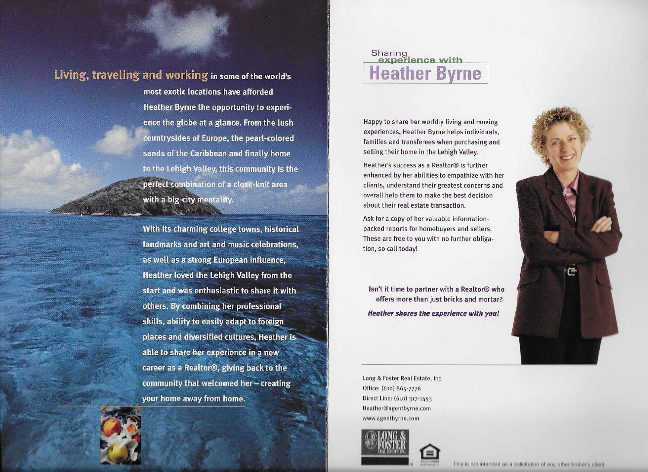## Living, traveling and working in some of the world's

most exotic locations have afforded Heather Byrne the opportunity to experience the globe at a glance. From the lush countrysides of Europe, the pearl-colored sands of the Caribbean and finally home to the Lehigh Valley, this community is the perfect combination of a close-knit area with a big-city mentality.

With its charming college towns, historical landmarks and art and music celebrations, as well as a strong European influence, Heather loved the Lehigh Valley from the start and was enthusiastic to share it with others. By combining her professional skills, ability to easily adapt to foreign places and diversified cultures, Heather is able to share her experience in a new career as a Realtor®, giving back to the community that welcomed her - creating your home away from home.



## Sharing<br>experience with **Heather Byrne**

Happy to share her worldly living and moving experiences, Heather Byrne helps individuals, families and transferees when purchasing and selling their home in the Lehigh Valley.

Heather's success as a Realtor® is further enhanced by her abilities to empathize with her clients, understand their greatest concerns and overall help them to make the best decision about their real estate transaction.

Ask for a copy of her valuable informationpacked reports for homebuyers and sellers. These are free to you with no further obligation, so call today!

**Isn't it time to partner with a Realtor® who offers more than just bricks and mortar? Heather shares the experience with you!** 

Long & Foster Real Estate, Inc. Office: (610) 865-7776 Direct Line: (610) 317-11,53 Heather@agentbyrne.com www.agentbyrne.com